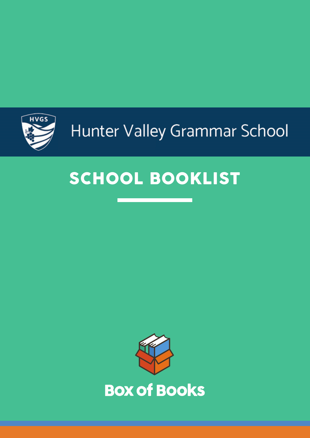

# SCHOOL BOOKLIST

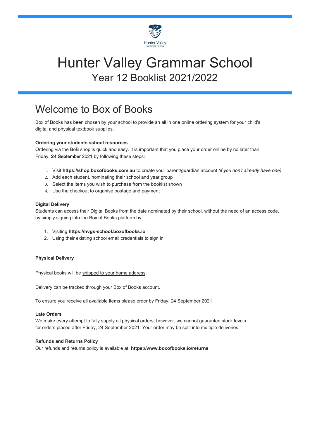

# Hunter Valley Grammar School Year 12 Booklist 2021/2022

### Welcome to Box of Books

Box of Books has been chosen by your school to provide an all in one online ordering system for your child's digital and physical textbook supplies.

#### **Ordering your students school resources**

Ordering via the BoB shop is quick and easy. It is important that you place your order online by no later than Friday, **24** September 2021 by following these steps:

- 1. Visit **https://shop.boxofbooks.com.au** to create your parent/guardian account *(if you don't already have one)*
- 2. Add each student, nominating their school and year group
- 3. Select the items you wish to purchase from the booklist shown
- 4. Use the checkout to organise postage and payment

#### **Digital Delivery**

Students can access their Digital Books from the date nominated by their school, without the need of an access code, by simply signing into the Box of Books platform by:

- 1. Visiting **https://hvgs-school.boxofbooks.io**
- 2. Using their existing school email credentials to sign in

#### **Physical Delivery**

Physical books will be shipped to your home address.

Delivery can be tracked through your Box of Books account.

To ensure you receive all available items please order by Friday, 24 September 2021.

#### **Late Orders**

We make every attempt to fully supply all physical orders; however, we cannot guarantee stock levels for orders placed after Friday, 24 September 2021. Your order may be split into multiple deliveries.

#### **Refunds and Returns Policy**

Our refunds and returns policy is available at: **https://www.boxofbooks.io/returns**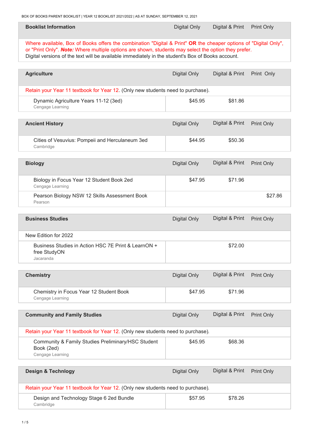| <b>Booklist Information</b>                                                                                                                                                                                                                                                                                                   | <b>Digital Only</b> | Digital & Print | <b>Print Only</b> |
|-------------------------------------------------------------------------------------------------------------------------------------------------------------------------------------------------------------------------------------------------------------------------------------------------------------------------------|---------------------|-----------------|-------------------|
| Where available, Box of Books offers the combination "Digital & Print" OR the cheaper options of "Digital Only",<br>or "Print Only". Note: Where multiple options are shown, students may select the option they prefer.<br>Digital versions of the text will be available immediately in the student's Box of Books account. |                     |                 |                   |
| <b>Agriculture</b>                                                                                                                                                                                                                                                                                                            | <b>Digital Only</b> | Digital & Print | Print Only        |
| Retain your Year 11 textbook for Year 12. (Only new students need to purchase).                                                                                                                                                                                                                                               |                     |                 |                   |
| Dynamic Agriculture Years 11-12 (3ed)<br>Cengage Learning                                                                                                                                                                                                                                                                     | \$45.95             | \$81.86         |                   |
| <b>Ancient History</b>                                                                                                                                                                                                                                                                                                        | <b>Digital Only</b> | Digital & Print | <b>Print Only</b> |
| Cities of Vesuvius: Pompeii and Herculaneum 3ed<br>Cambridge                                                                                                                                                                                                                                                                  | \$44.95             | \$50.36         |                   |
| <b>Biology</b>                                                                                                                                                                                                                                                                                                                | <b>Digital Only</b> | Digital & Print | <b>Print Only</b> |
| Biology in Focus Year 12 Student Book 2ed<br>Cengage Learning                                                                                                                                                                                                                                                                 | \$47.95             | \$71.96         |                   |
| Pearson Biology NSW 12 Skills Assessment Book<br>Pearson                                                                                                                                                                                                                                                                      |                     |                 | \$27.86           |
| <b>Business Studies</b>                                                                                                                                                                                                                                                                                                       | <b>Digital Only</b> | Digital & Print | Print Only        |
| New Edition for 2022                                                                                                                                                                                                                                                                                                          |                     |                 |                   |
| Business Studies in Action HSC 7E Print & LearnON +<br>free StudyON<br>Jacaranda                                                                                                                                                                                                                                              |                     | \$72.00         |                   |
| <b>Chemistry</b>                                                                                                                                                                                                                                                                                                              | <b>Digital Only</b> | Digital & Print | <b>Print Only</b> |
| Chemistry in Focus Year 12 Student Book<br>Cengage Learning                                                                                                                                                                                                                                                                   | \$47.95             | \$71.96         |                   |
| <b>Community and Family Studies</b>                                                                                                                                                                                                                                                                                           | <b>Digital Only</b> | Digital & Print | Print Only        |
| Retain your Year 11 textbook for Year 12. (Only new students need to purchase).                                                                                                                                                                                                                                               |                     |                 |                   |
| Community & Family Studies Preliminary/HSC Student<br>Book (2ed)<br>Cengage Learning                                                                                                                                                                                                                                          | \$45.95             | \$68.36         |                   |
| <b>Design &amp; Technlogy</b>                                                                                                                                                                                                                                                                                                 | <b>Digital Only</b> | Digital & Print | Print Only        |
| Retain your Year 11 textbook for Year 12. (Only new students need to purchase).                                                                                                                                                                                                                                               |                     |                 |                   |
| Design and Technology Stage 6 2ed Bundle<br>Cambridge                                                                                                                                                                                                                                                                         | \$57.95             | \$78.26         |                   |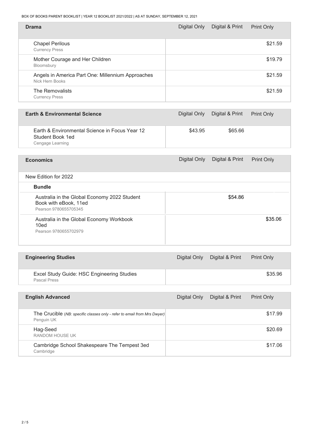BOX OF BOOKS PARENT BOOKLIST | YEAR 12 BOOKLIST 2021/2022 | AS AT SUNDAY, SEPTEMBER 12, 2021

| <b>Drama</b>                                                         | Digital Only | Digital & Print | <b>Print Only</b> |
|----------------------------------------------------------------------|--------------|-----------------|-------------------|
| <b>Chapel Perilous</b><br><b>Currency Press</b>                      |              |                 | \$21.59           |
| Mother Courage and Her Children<br>Bloomsbury                        |              |                 | \$19.79           |
| Angels in America Part One: Millennium Approaches<br>Nick Hern Books |              |                 | \$21.59           |
| The Removalists<br><b>Currency Press</b>                             |              |                 | \$21.59           |

| <b>Earth &amp; Environmental Science</b>                                               |         | Digital Only Digital & Print | <b>Print Only</b> |
|----------------------------------------------------------------------------------------|---------|------------------------------|-------------------|
| Earth & Environmental Science in Focus Year 12<br>Student Book 1ed<br>Cengage Learning | \$43.95 | \$65.66                      |                   |

| <b>Economics</b>                                                                               | Digital Only | Digital & Print | <b>Print Only</b> |
|------------------------------------------------------------------------------------------------|--------------|-----------------|-------------------|
| New Edition for 2022                                                                           |              |                 |                   |
| <b>Bundle</b>                                                                                  |              |                 |                   |
| Australia in the Global Economy 2022 Student<br>Book with eBook, 11ed<br>Pearson 9780655705345 |              | \$54.86         |                   |
| Australia in the Global Economy Workbook<br>10ed<br>Pearson 9780655702979                      |              |                 | \$35.06           |

| <b>Engineering Studies</b>                                 | Digital Only | Digital & Print | <b>Print Only</b> |
|------------------------------------------------------------|--------------|-----------------|-------------------|
| Excel Study Guide: HSC Engineering Studies<br>Pascal Press |              |                 | \$35.96           |

| <b>English Advanced</b>                                                                | Digital Only | Digital & Print | <b>Print Only</b> |
|----------------------------------------------------------------------------------------|--------------|-----------------|-------------------|
| The Crucible (NB: specific classes only - refer to email from Mrs Dwyer)<br>Penguin UK |              |                 | \$17.99           |
| Hag-Seed<br>RANDOM HOUSE UK                                                            |              |                 | \$20.69           |
| Cambridge School Shakespeare The Tempest 3ed<br>Cambridge                              |              |                 | \$17.06           |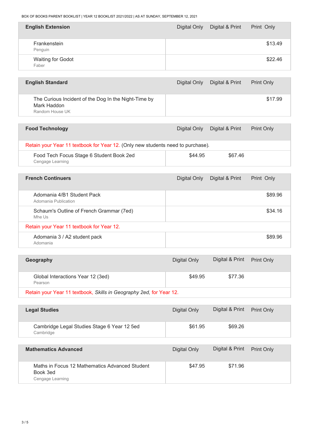| <b>English Extension</b>          | Digital Only | Digital & Print | Print Only |
|-----------------------------------|--------------|-----------------|------------|
| Frankenstein<br>Penguin           |              |                 | \$13.49    |
| <b>Waiting for Godot</b><br>Faber |              |                 | \$22.46    |

| <b>English Standard</b>                                                                | Digital Only | Digital & Print | <b>Print Only</b> |
|----------------------------------------------------------------------------------------|--------------|-----------------|-------------------|
| The Curious Incident of the Dog In the Night-Time by<br>Mark Haddon<br>Random House UK |              |                 | \$17.99           |

| <b>Food Technology</b>                                                          | Digital Only | Digital & Print | <b>Print Only</b> |
|---------------------------------------------------------------------------------|--------------|-----------------|-------------------|
| Retain your Year 11 textbook for Year 12. (Only new students need to purchase). |              |                 |                   |
| Food Tech Focus Stage 6 Student Book 2ed<br>Cengage Learning                    | \$44.95      | \$67.46         |                   |

| <b>French Continuers</b>                           | Digital Only | Digital & Print | Print Only |
|----------------------------------------------------|--------------|-----------------|------------|
| Adomania 4/B1 Student Pack<br>Adomania Publication |              |                 | \$89.96    |
| Schaum's Outline of French Grammar (7ed)<br>Mhe Us |              |                 | \$34.16    |
| Retain your Year 11 textbook for Year 12.          |              |                 |            |
| Adomania 3 / A2 student pack<br>Adomania           |              |                 | \$89.96    |

| Geography                                                           | Digital Only | Digital & Print | <b>Print Only</b> |
|---------------------------------------------------------------------|--------------|-----------------|-------------------|
| Global Interactions Year 12 (3ed)<br>Pearson                        | \$49.95      | \$77.36         |                   |
| Retain your Year 11 textbook, Skills in Geography 2ed, for Year 12. |              |                 |                   |

| <b>Legal Studies</b>                                     | Digital Only | Digital & Print | <b>Print Only</b> |
|----------------------------------------------------------|--------------|-----------------|-------------------|
| Cambridge Legal Studies Stage 6 Year 12 5ed<br>Cambridge | \$61.95      | \$69.26         |                   |

| <b>Mathematics Advanced</b>                                                    | <b>Digital Only</b> | Digital & Print Print Only |  |
|--------------------------------------------------------------------------------|---------------------|----------------------------|--|
| Maths in Focus 12 Mathematics Advanced Student<br>Book 3ed<br>Cengage Learning | \$47.95             | \$71.96                    |  |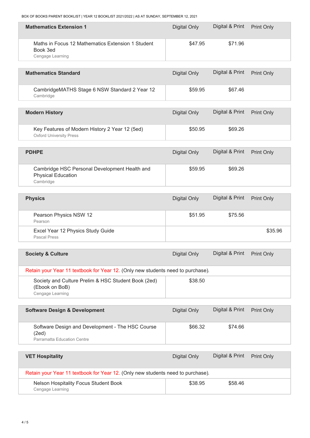BOX OF BOOKS PARENT BOOKLIST | YEAR 12 BOOKLIST 2021/2022 | AS AT SUNDAY, SEPTEMBER 12, 2021

| <b>Mathematics Extension 1</b>                                                    | Digital Only | Digital & Print | <b>Print Only</b> |
|-----------------------------------------------------------------------------------|--------------|-----------------|-------------------|
| Maths in Focus 12 Mathematics Extension 1 Student<br>Book 3ed<br>Cengage Learning | \$47.95      | \$71.96         |                   |
| <b>Mathematics Standard</b>                                                       | Digital Only | Digital & Print | <b>Print Only</b> |
| CambridgeMATHS Stage 6 NSW Standard 2 Year 12<br>Cambridge                        | \$59.95      | \$67.46         |                   |

| <b>Modern History</b>                                                            | Digital Only | Digital & Print Print Only |  |
|----------------------------------------------------------------------------------|--------------|----------------------------|--|
| Key Features of Modern History 2 Year 12 (5ed)<br><b>Oxford University Press</b> | \$50.95      | \$69.26                    |  |

| <b>PDHPE</b>                                                                            | Digital Only | Digital & Print Print Only |  |
|-----------------------------------------------------------------------------------------|--------------|----------------------------|--|
| Cambridge HSC Personal Development Health and<br><b>Physical Education</b><br>Cambridge | \$59.95      | \$69.26                    |  |

| <b>Physics</b>                                    | Digital Only | Digital & Print | <b>Print Only</b> |
|---------------------------------------------------|--------------|-----------------|-------------------|
| Pearson Physics NSW 12<br>Pearson                 | \$51.95      | \$75.56         |                   |
| Excel Year 12 Physics Study Guide<br>Pascal Press |              |                 | \$35.96           |

| <b>Society &amp; Culture</b>                                                              | Digital Only | Digital & Print | <b>Print Only</b> |
|-------------------------------------------------------------------------------------------|--------------|-----------------|-------------------|
| Retain your Year 11 textbook for Year 12. (Only new students need to purchase).           |              |                 |                   |
| Society and Culture Prelim & HSC Student Book (2ed)<br>(Ebook on BoB)<br>Cengage Learning | \$38.50      |                 |                   |

| <b>Software Design &amp; Development</b>                                                        | Digital Only | Digital & Print | <b>Print Only</b> |
|-------------------------------------------------------------------------------------------------|--------------|-----------------|-------------------|
| Software Design and Development - The HSC Course<br>(2ed)<br><b>Parramatta Education Centre</b> | \$66.32      | \$74.66         |                   |

| <b>VET Hospitality</b>                                                          | Digital Only | Digital & Print | <b>Print Only</b> |  |
|---------------------------------------------------------------------------------|--------------|-----------------|-------------------|--|
| Retain your Year 11 textbook for Year 12. (Only new students need to purchase). |              |                 |                   |  |
| <b>Nelson Hospitality Focus Student Book</b><br>Cengage Learning                | \$38.95      | \$58.46         |                   |  |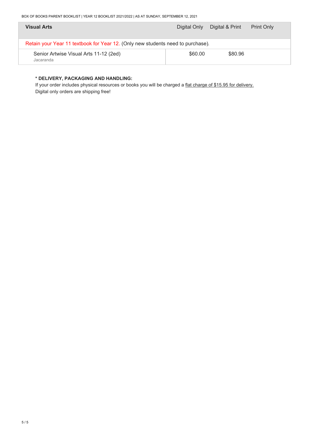| <b>Visual Arts</b>                                                              | Digital Only | Digital & Print | <b>Print Only</b> |  |
|---------------------------------------------------------------------------------|--------------|-----------------|-------------------|--|
| Retain your Year 11 textbook for Year 12. (Only new students need to purchase). |              |                 |                   |  |
| Senior Artwise Visual Arts 11-12 (2ed)<br>Jacaranda                             | \$60.00      | \$80.96         |                   |  |

#### **\* DELIVERY, PACKAGING AND HANDLING:**

If your order includes physical resources or books you will be charged a flat charge of \$15.95 for delivery. Digital only orders are shipping free!